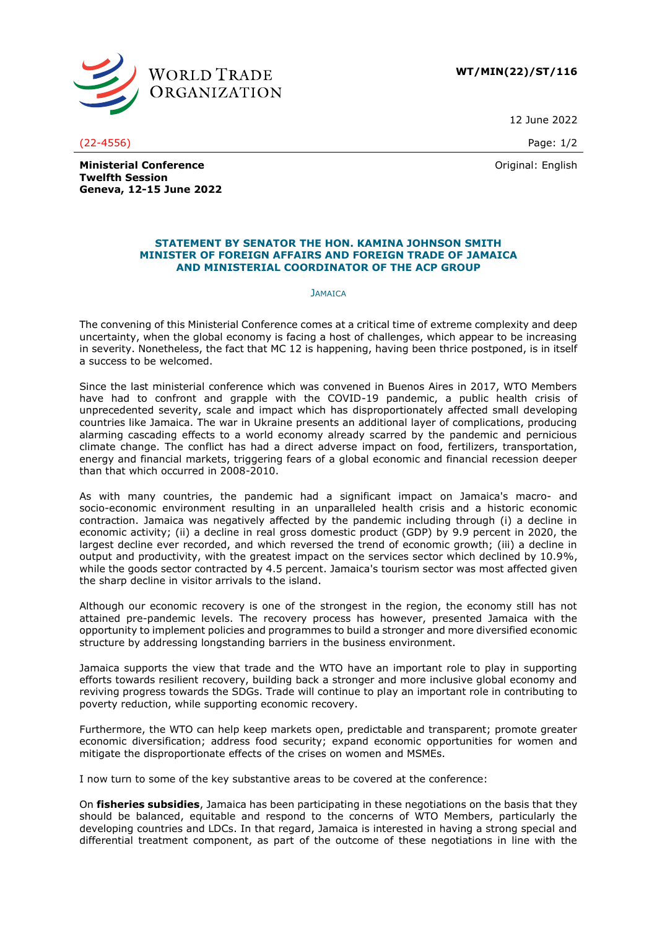

**WT/MIN(22)/ST/116**

12 June 2022

Original: English

**Ministerial Conference Twelfth Session Geneva, 12-15 June 2022**

## **STATEMENT BY SENATOR THE HON. KAMINA JOHNSON SMITH MINISTER OF FOREIGN AFFAIRS AND FOREIGN TRADE OF JAMAICA AND MINISTERIAL COORDINATOR OF THE ACP GROUP**

## **JAMAICA**

The convening of this Ministerial Conference comes at a critical time of extreme complexity and deep uncertainty, when the global economy is facing a host of challenges, which appear to be increasing in severity. Nonetheless, the fact that MC 12 is happening, having been thrice postponed, is in itself a success to be welcomed.

Since the last ministerial conference which was convened in Buenos Aires in 2017, WTO Members have had to confront and grapple with the COVID-19 pandemic, a public health crisis of unprecedented severity, scale and impact which has disproportionately affected small developing countries like Jamaica. The war in Ukraine presents an additional layer of complications, producing alarming cascading effects to a world economy already scarred by the pandemic and pernicious climate change. The conflict has had a direct adverse impact on food, fertilizers, transportation, energy and financial markets, triggering fears of a global economic and financial recession deeper than that which occurred in 2008-2010.

As with many countries, the pandemic had a significant impact on Jamaica's macro- and socio-economic environment resulting in an unparalleled health crisis and a historic economic contraction. Jamaica was negatively affected by the pandemic including through (i) a decline in economic activity; (ii) a decline in real gross domestic product (GDP) by 9.9 percent in 2020, the largest decline ever recorded, and which reversed the trend of economic growth; (iii) a decline in output and productivity, with the greatest impact on the services sector which declined by 10.9%, while the goods sector contracted by 4.5 percent. Jamaica's tourism sector was most affected given the sharp decline in visitor arrivals to the island.

Although our economic recovery is one of the strongest in the region, the economy still has not attained pre-pandemic levels. The recovery process has however, presented Jamaica with the opportunity to implement policies and programmes to build a stronger and more diversified economic structure by addressing longstanding barriers in the business environment.

Jamaica supports the view that trade and the WTO have an important role to play in supporting efforts towards resilient recovery, building back a stronger and more inclusive global economy and reviving progress towards the SDGs. Trade will continue to play an important role in contributing to poverty reduction, while supporting economic recovery.

Furthermore, the WTO can help keep markets open, predictable and transparent; promote greater economic diversification; address food security; expand economic opportunities for women and mitigate the disproportionate effects of the crises on women and MSMEs.

I now turn to some of the key substantive areas to be covered at the conference:

On **fisheries subsidies**, Jamaica has been participating in these negotiations on the basis that they should be balanced, equitable and respond to the concerns of WTO Members, particularly the developing countries and LDCs. In that regard, Jamaica is interested in having a strong special and differential treatment component, as part of the outcome of these negotiations in line with the

(22-4556) Page: 1/2